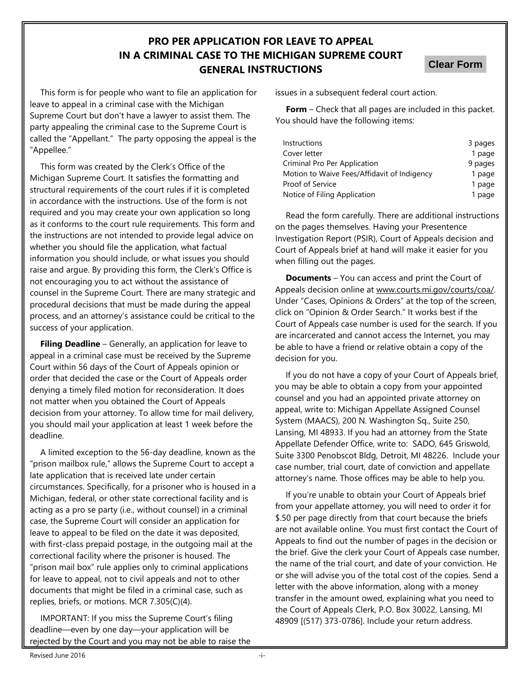# **PRO PER APPLICATION FOR LEAVE TO APPEAL IN A CRIMINAL CASE TO THE MICHIGAN SUPREME COURT GENERAL INSTRUCTIONS**

**Clear Form**

This form is for people who want to file an application for leave to appeal in a criminal case with the Michigan Supreme Court but don't have a lawyer to assist them. The party appealing the criminal case to the Supreme Court is called the "Appellant." The party opposing the appeal is the "Appellee."

This form was created by the Clerk's Office of the Michigan Supreme Court. It satisfies the formatting and structural requirements of the court rules if it is completed in accordance with the instructions. Use of the form is not required and you may create your own application so long as it conforms to the court rule requirements. This form and the instructions are not intended to provide legal advice on whether you should file the application, what factual information you should include, or what issues you should raise and argue. By providing this form, the Clerk's Office is not encouraging you to act without the assistance of counsel in the Supreme Court. There are many strategic and procedural decisions that must be made during the appeal process, and an attorney's assistance could be critical to the success of your application.

**Filing Deadline** – Generally, an application for leave to appeal in a criminal case must be received by the Supreme Court within 56 days of the Court of Appeals opinion or order that decided the case or the Court of Appeals order denying a timely filed motion for reconsideration. It does not matter when you obtained the Court of Appeals decision from your attorney. To allow time for mail delivery, you should mail your application at least 1 week before the deadline.

A limited exception to the 56-day deadline, known as the "prison mailbox rule," allows the Supreme Court to accept a late application that is received late under certain circumstances. Specifically, for a prisoner who is housed in a Michigan, federal, or other state correctional facility and is acting as a pro se party (i.e., without counsel) in a criminal case, the Supreme Court will consider an application for leave to appeal to be filed on the date it was deposited, with first-class prepaid postage, in the outgoing mail at the correctional facility where the prisoner is housed. The "prison mail box" rule applies only to criminal applications for leave to appeal, not to civil appeals and not to other documents that might be filed in a criminal case, such as replies, briefs, or motions. MCR 7.305(C)(4).

IMPORTANT: If you miss the Supreme Court's filing deadline—even by one day—your application will be rejected by the Court and you may not be able to raise the issues in a subsequent federal court action.

**Form** – Check that all pages are included in this packet. You should have the following items:

| Instructions                                | 3 pages |
|---------------------------------------------|---------|
| Cover letter                                | 1 page  |
| Criminal Pro Per Application                | 9 pages |
| Motion to Waive Fees/Affidavit of Indigency | 1 page  |
| Proof of Service                            | 1 page  |
| Notice of Filing Application                | 1 page  |

Read the form carefully. There are additional instructions on the pages themselves. Having your Presentence Investigation Report (PSIR), Court of Appeals decision and Court of Appeals brief at hand will make it easier for you when filling out the pages.

**Documents** – You can access and print the Court of Appeals decision online at www.courts.mi.gov/courts/coa/. Under "Cases, Opinions & Orders" at the top of the screen, click on "Opinion & Order Search." It works best if the Court of Appeals case number is used for the search. If you are incarcerated and cannot access the Internet, you may be able to have a friend or relative obtain a copy of the decision for you.

If you do not have a copy of your Court of Appeals brief, you may be able to obtain a copy from your appointed counsel and you had an appointed private attorney on appeal, write to: Michigan Appellate Assigned Counsel System (MAACS), 200 N. Washington Sq., Suite 250, Lansing, MI 48933. If you had an attorney from the State Appellate Defender Office, write to: SADO, 645 Griswold, Suite 3300 Penobscot Bldg, Detroit, MI 48226. Include your case number, trial court, date of conviction and appellate attorney's name. Those offices may be able to help you.

If you're unable to obtain your Court of Appeals brief from your appellate attorney, you will need to order it for \$.50 per page directly from that court because the briefs are not available online. You must first contact the Court of Appeals to find out the number of pages in the decision or the brief. Give the clerk your Court of Appeals case number, the name of the trial court, and date of your conviction. He or she will advise you of the total cost of the copies. Send a letter with the above information, along with a money transfer in the amount owed, explaining what you need to the Court of Appeals Clerk, P.O. Box 30022, Lansing, MI 48909 [(517) 373-0786]. Include your return address.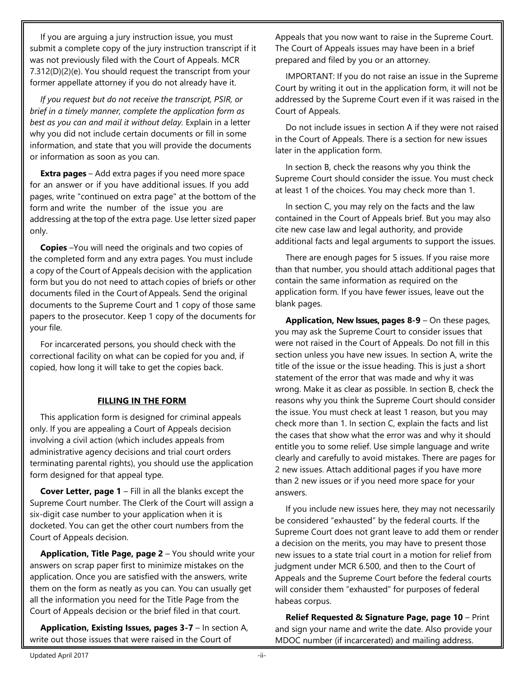If you are arguing a jury instruction issue, you must submit a complete copy of the jury instruction transcript if it was not previously filed with the Court of Appeals. MCR 7.312(D)(2)(e). You should request the transcript from your former appellate attorney if you do not already have it.

*If you request but do not receive the transcript, PSIR, or brief in a timely manner, complete the application form as best as you can and mail it without delay.* Explain in a letter why you did not include certain documents or fill in some information, and state that you will provide the documents or information as soon as you can.

**Extra pages** – Add extra pages if you need more space for an answer or if you have additional issues. If you add pages, write "continued on extra page" at the bottom of the form and write the number of the issue you are addressing at the top of the extra page. Use letter sized paper only.

**Copies** –You will need the originals and two copies of the completed form and any extra pages. You must include a copy of the Court of Appeals decision with the application form but you do not need to attach copies of briefs or other documents filed in the Court of Appeals. Send the original documents to the Supreme Court and 1 copy of those same papers to the prosecutor. Keep 1 copy of the documents for your file.

For incarcerated persons, you should check with the correctional facility on what can be copied for you and, if copied, how long it will take to get the copies back.

### **FILLING IN THE FORM**

This application form is designed for criminal appeals only. If you are appealing a Court of Appeals decision involving a civil action (which includes appeals from administrative agency decisions and trial court orders terminating parental rights), you should use the application form designed for that appeal type.

**Cover Letter, page 1** – Fill in all the blanks except the Supreme Court number. The Clerk of the Court will assign a six-digit case number to your application when it is docketed. You can get the other court numbers from the Court of Appeals decision.

**Application, Title Page, page 2** – You should write your answers on scrap paper first to minimize mistakes on the application. Once you are satisfied with the answers, write them on the form as neatly as you can. You can usually get all the information you need for the Title Page from the Court of Appeals decision or the brief filed in that court.

**Application, Existing Issues, pages 3-7** – In section A, write out those issues that were raised in the Court of

Appeals that you now want to raise in the Supreme Court. The Court of Appeals issues may have been in a brief prepared and filed by you or an attorney.

IMPORTANT: If you do not raise an issue in the Supreme Court by writing it out in the application form, it will not be addressed by the Supreme Court even if it was raised in the Court of Appeals.

Do not include issues in section A if they were not raised in the Court of Appeals. There is a section for new issues later in the application form.

In section B, check the reasons why you think the Supreme Court should consider the issue. You must check at least 1 of the choices. You may check more than 1.

In section C, you may rely on the facts and the law contained in the Court of Appeals brief. But you may also cite new case law and legal authority, and provide additional facts and legal arguments to support the issues.

There are enough pages for 5 issues. If you raise more than that number, you should attach additional pages that contain the same information as required on the application form. If you have fewer issues, leave out the blank pages.

**Application, New Issues, pages 8-9** – On these pages, you may ask the Supreme Court to consider issues that were not raised in the Court of Appeals. Do not fill in this section unless you have new issues. In section A, write the title of the issue or the issue heading. This is just a short statement of the error that was made and why it was wrong. Make it as clear as possible. In section B, check the reasons why you think the Supreme Court should consider the issue. You must check at least 1 reason, but you may check more than 1. In section C, explain the facts and list the cases that show what the error was and why it should entitle you to some relief. Use simple language and write clearly and carefully to avoid mistakes. There are pages for 2 new issues. Attach additional pages if you have more than 2 new issues or if you need more space for your answers.

If you include new issues here, they may not necessarily be considered "exhausted" by the federal courts. If the Supreme Court does not grant leave to add them or render a decision on the merits, you may have to present those new issues to a state trial court in a motion for relief from judgment under MCR 6.500, and then to the Court of Appeals and the Supreme Court before the federal courts will consider them "exhausted" for purposes of federal habeas corpus.

**Relief Requested & Signature Page, page 10** – Print and sign your name and write the date. Also provide your MDOC number (if incarcerated) and mailing address.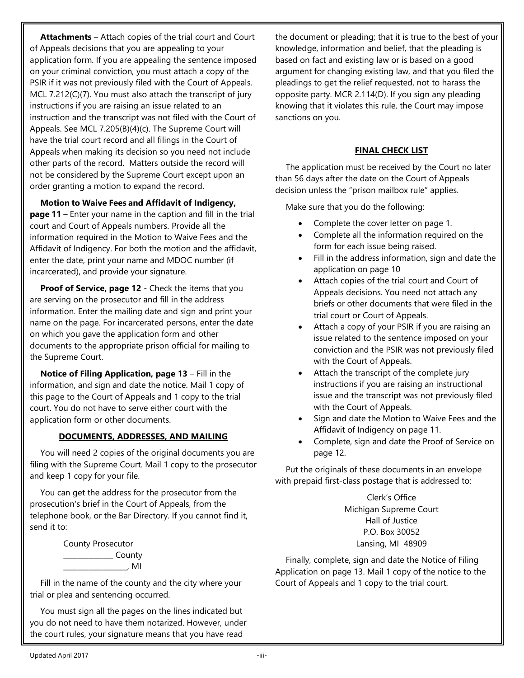**Attachments** – Attach copies of the trial court and Court of Appeals decisions that you are appealing to your application form. If you are appealing the sentence imposed on your criminal conviction, you must attach a copy of the PSIR if it was not previously filed with the Court of Appeals. MCL 7.212(C)(7). You must also attach the transcript of jury instructions if you are raising an issue related to an instruction and the transcript was not filed with the Court of Appeals. See MCL 7.205(B)(4)(c). The Supreme Court will have the trial court record and all filings in the Court of Appeals when making its decision so you need not include other parts of the record. Matters outside the record will not be considered by the Supreme Court except upon an order granting a motion to expand the record.

**Motion to Waive Fees and Affidavit of Indigency,**

**page 11** – Enter your name in the caption and fill in the trial court and Court of Appeals numbers. Provide all the information required in the Motion to Waive Fees and the Affidavit of Indigency. For both the motion and the affidavit, enter the date, print your name and MDOC number (if incarcerated), and provide your signature.

**Proof of Service, page 12** - Check the items that you are serving on the prosecutor and fill in the address information. Enter the mailing date and sign and print your name on the page. For incarcerated persons, enter the date on which you gave the application form and other documents to the appropriate prison official for mailing to the Supreme Court.

**Notice of Filing Application, page 13** – Fill in the information, and sign and date the notice. Mail 1 copy of this page to the Court of Appeals and 1 copy to the trial court. You do not have to serve either court with the application form or other documents.

#### **DOCUMENTS, ADDRESSES, AND MAILING**

You will need 2 copies of the original documents you are filing with the Supreme Court. Mail 1 copy to the prosecutor and keep 1 copy for your file.

You can get the address for the prosecutor from the prosecution's brief in the Court of Appeals, from the telephone book, or the Bar Directory. If you cannot find it, send it to:

> County Prosecutor \_\_\_\_\_\_\_\_\_\_\_\_\_\_ County  $\blacksquare$  . MI

Fill in the name of the county and the city where your trial or plea and sentencing occurred.

You must sign all the pages on the lines indicated but you do not need to have them notarized. However, under the court rules, your signature means that you have read

the document or pleading; that it is true to the best of your knowledge, information and belief, that the pleading is based on fact and existing law or is based on a good argument for changing existing law, and that you filed the pleadings to get the relief requested, not to harass the opposite party. MCR 2.114(D). If you sign any pleading knowing that it violates this rule, the Court may impose sanctions on you.

#### **FINAL CHECK LIST**

The application must be received by the Court no later than 56 days after the date on the Court of Appeals decision unless the "prison mailbox rule" applies.

Make sure that you do the following:

- Complete the cover letter on page 1.
- Complete all the information required on the form for each issue being raised.
- Fill in the address information, sign and date the application on page 10
- Attach copies of the trial court and Court of Appeals decisions. You need not attach any briefs or other documents that were filed in the trial court or Court of Appeals.
- Attach a copy of your PSIR if you are raising an issue related to the sentence imposed on your conviction and the PSIR was not previously filed with the Court of Appeals.
- Attach the transcript of the complete jury instructions if you are raising an instructional issue and the transcript was not previously filed with the Court of Appeals.
- Sign and date the Motion to Waive Fees and the Affidavit of Indigency on page 11.
- Complete, sign and date the Proof of Service on page 12.

Put the originals of these documents in an envelope with prepaid first-class postage that is addressed to:

> Clerk's Office Michigan Supreme Court Hall of Justice P.O. Box 30052 Lansing, MI 48909

Finally, complete, sign and date the Notice of Filing Application on page 13. Mail 1 copy of the notice to the Court of Appeals and 1 copy to the trial court.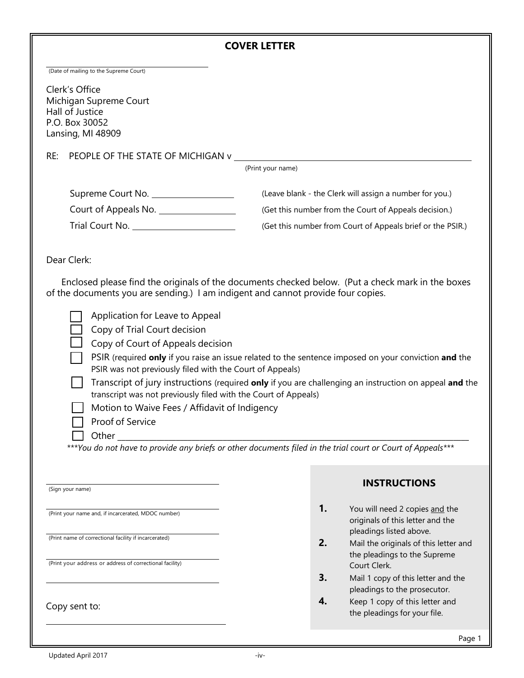|  |  | (Date of mailing to the Supreme Court) |  |
|--|--|----------------------------------------|--|
|  |  |                                        |  |

Clerk's Office Michigan Supreme Court Hall of Justice P.O. Box 30052 Lansing, MI 48909

RE: PEOPLE OF THE STATE OF MICHIGAN v

(Print your name)

| Supreme Court No.    | (Leave blank - the Clerk will assign a number for you.)    |
|----------------------|------------------------------------------------------------|
| Court of Appeals No. | (Get this number from the Court of Appeals decision.)      |
| Trial Court No.      | (Get this number from Court of Appeals brief or the PSIR.) |

Dear Clerk:

Enclosed please find the originals of the documents checked below. (Put a check mark in the boxes of the documents you are sending.) I am indigent and cannot provide four copies.

|  |  | Application for Leave to Appeal |  |
|--|--|---------------------------------|--|
|--|--|---------------------------------|--|

Copy of Trial Court decision

Copy of Court of Appeals decision

- PSIR (required **only** if you raise an issue related to the sentence imposed on your conviction **and** the PSIR was not previously filed with the Court of Appeals)
- Transcript of jury instructions (required **only** if you are challenging an instruction on appeal **and** the transcript was not previously filed with the Court of Appeals)
	- Motion to Waive Fees / Affidavit of Indigency
	- Proof of Service

Other \_\_\_\_\_\_\_\_\_\_\_\_\_\_\_\_\_\_\_\_\_\_\_\_\_\_\_\_\_\_\_\_\_\_\_\_\_\_\_\_\_\_\_\_\_\_\_\_\_\_\_\_\_\_\_\_\_\_\_\_\_\_\_\_\_\_\_\_\_\_\_\_\_\_\_\_\_\_\_\_\_\_\_\_\_\_\_\_\_\_

*\*\*\*You do not have to provide any briefs or other documents filed in the trial court or Court of Appeals\*\*\**

(Sign your name)

(Print your name and, if incarcerated, MDOC number)

(Print name of correctional facility if incarcerated)

(Print your address or address of correctional facility)

Copy sent to:

## **INSTRUCTIONS**

- **1.** You will need 2 copies and the originals of this letter and the pleadings listed above.
- **2.** Mail the originals of this letter and the pleadings to the Supreme Court Clerk.
- **3.** Mail 1 copy of this letter and the pleadings to the prosecutor.
- **4.** Keep 1 copy of this letter and the pleadings for your file.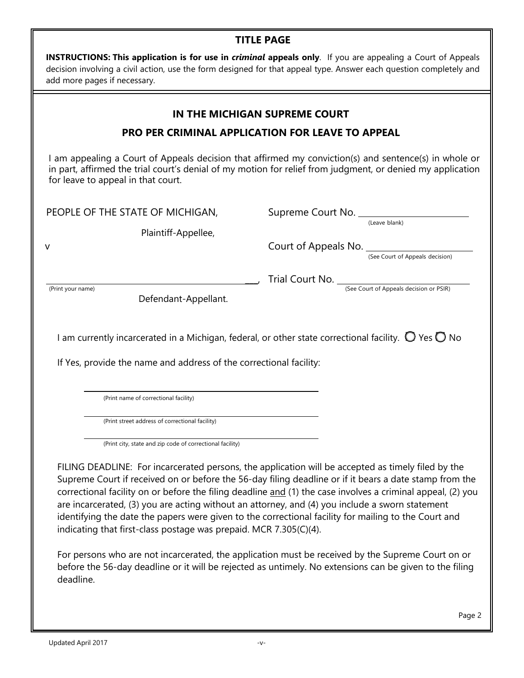## **TITLE PAGE**

| <b>INSTRUCTIONS: This application is for use in criminal appeals only</b> . If you are appealing a Court of Appeals |
|---------------------------------------------------------------------------------------------------------------------|
| decision involving a civil action, use the form designed for that appeal type. Answer each question completely and  |
| add more pages if necessary.                                                                                        |

## **IN THE MICHIGAN SUPREME COURT**

## **PRO PER CRIMINAL APPLICATION FOR LEAVE TO APPEAL**

I am appealing a Court of Appeals decision that affirmed my conviction(s) and sentence(s) in whole or in part, affirmed the trial court's denial of my motion for relief from judgment, or denied my application for leave to appeal in that court.

(Leave blank)

(See Court of Appeals decision)

PEOPLE OF THE STATE OF MICHIGAN, Supreme Court No.

Plaintiff-Appellee, v Court of Appeals No.

(Print your name) (See Court of Appeals decision or PSIR)

Defendant-Appellant.

I am currently incarcerated in a Michigan, federal, or other state correctional facility.  $\bigcirc$  Yes  $\bigcirc$  No

Trial Court No.

If Yes, provide the name and address of the correctional facility:

(Print name of correctional facility)

(Print street address of correctional facility)

(Print city, state and zip code of correctional facility)

FILING DEADLINE: For incarcerated persons, the application will be accepted as timely filed by the Supreme Court if received on or before the 56-day filing deadline or if it bears a date stamp from the correctional facility on or before the filing deadline and (1) the case involves a criminal appeal, (2) you are incarcerated, (3) you are acting without an attorney, and (4) you include a sworn statement identifying the date the papers were given to the correctional facility for mailing to the Court and indicating that first-class postage was prepaid. MCR 7.305(C)(4).

For persons who are not incarcerated, the application must be received by the Supreme Court on or before the 56-day deadline or it will be rejected as untimely. No extensions can be given to the filing deadline.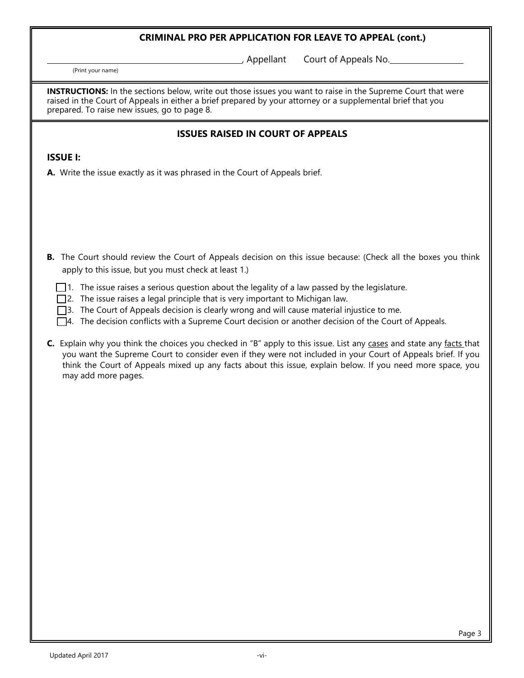, Appellant Court of Appeals No.

(Print your name)

**INSTRUCTIONS:** In the sections below, write out those issues you want to raise in the Supreme Court that were raised in the Court of Appeals in either a brief prepared by your attorney or a supplemental brief that you prepared. To raise new issues, go to page 8.

## **ISSUES RAISED IN COURT OF APPEALS**

#### **ISSUE I:**

- **B.** The Court should review the Court of Appeals decision on this issue because: (Check all the boxes you think apply to this issue, but you must check at least 1.)
	- $\Box$  1. The issue raises a serious question about the legality of a law passed by the legislature.
	- $\square$ 2. The issue raises a legal principle that is very important to Michigan law.
	- 3. The Court of Appeals decision is clearly wrong and will cause material injustice to me.
	- $\Box$ 4. The decision conflicts with a Supreme Court decision or another decision of the Court of Appeals.
- **C.** Explain why you think the choices you checked in "B" apply to this issue. List any cases and state any facts that you want the Supreme Court to consider even if they were not included in your Court of Appeals brief. If you think the Court of Appeals mixed up any facts about this issue, explain below. If you need more space, you may add more pages.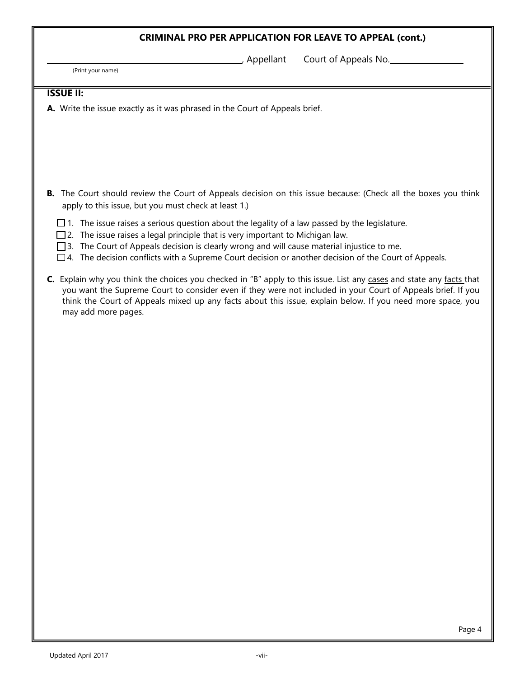(Print your name)

, Appellant Court of Appeals No.

#### **ISSUE II:**

- **B.** The Court should review the Court of Appeals decision on this issue because: (Check all the boxes you think apply to this issue, but you must check at least 1.)
	- $\Box$  1. The issue raises a serious question about the legality of a law passed by the legislature.
	- $\square$  2. The issue raises a legal principle that is very important to Michigan law.
	- $\Box$ 3. The Court of Appeals decision is clearly wrong and will cause material injustice to me.
	- $\square$ 4. The decision conflicts with a Supreme Court decision or another decision of the Court of Appeals.
- **C.** Explain why you think the choices you checked in "B" apply to this issue. List any cases and state any facts that you want the Supreme Court to consider even if they were not included in your Court of Appeals brief. If you think the Court of Appeals mixed up any facts about this issue, explain below. If you need more space, you may add more pages.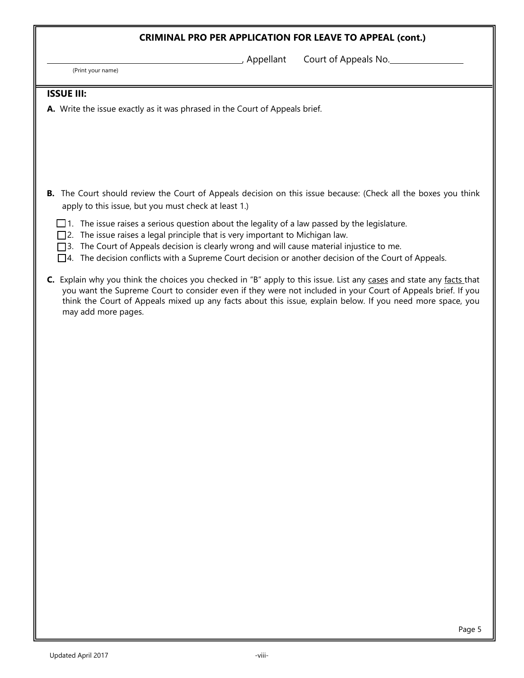(Print your name)

, Appellant Court of Appeals No.

#### **ISSUE III:**

- **B.** The Court should review the Court of Appeals decision on this issue because: (Check all the boxes you think apply to this issue, but you must check at least 1.)
	- $\Box$  1. The issue raises a serious question about the legality of a law passed by the legislature.
	- □ 2. The issue raises a legal principle that is very important to Michigan law.
	- □3. The Court of Appeals decision is clearly wrong and will cause material injustice to me.
	- $\Box$ 4. The decision conflicts with a Supreme Court decision or another decision of the Court of Appeals.
- **C.** Explain why you think the choices you checked in "B" apply to this issue. List any cases and state any facts that you want the Supreme Court to consider even if they were not included in your Court of Appeals brief. If you think the Court of Appeals mixed up any facts about this issue, explain below. If you need more space, you may add more pages.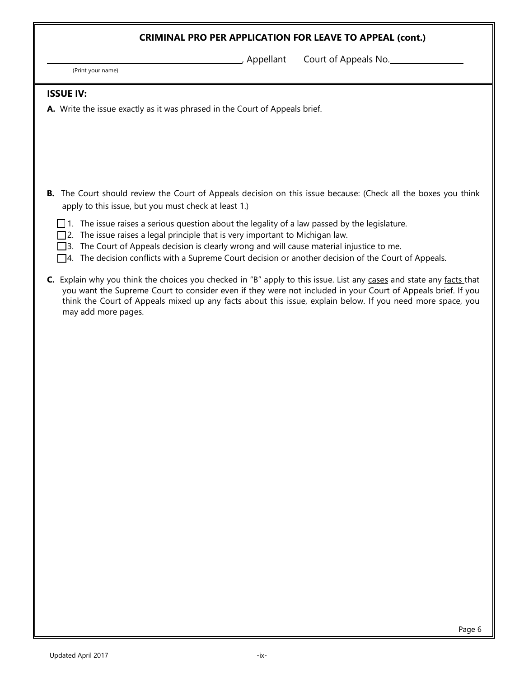(Print your name)

, Appellant Court of Appeals No.

#### **ISSUE IV:**

- **B.** The Court should review the Court of Appeals decision on this issue because: (Check all the boxes you think apply to this issue, but you must check at least 1.)
	- $\Box$  1. The issue raises a serious question about the legality of a law passed by the legislature.
	- □ 2. The issue raises a legal principle that is very important to Michigan law.
	- $\square$ 3. The Court of Appeals decision is clearly wrong and will cause material injustice to me.
	- $\Box$ 4. The decision conflicts with a Supreme Court decision or another decision of the Court of Appeals.
- **C.** Explain why you think the choices you checked in "B" apply to this issue. List any cases and state any facts that you want the Supreme Court to consider even if they were not included in your Court of Appeals brief. If you think the Court of Appeals mixed up any facts about this issue, explain below. If you need more space, you may add more pages.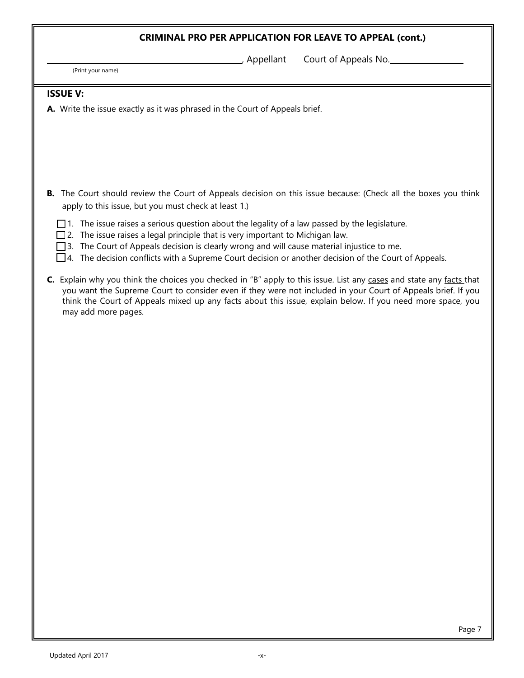(Print your name)

, Appellant Court of Appeals No.

#### **ISSUE V:**

- **B.** The Court should review the Court of Appeals decision on this issue because: (Check all the boxes you think apply to this issue, but you must check at least 1.)
	- $\Box$  1. The issue raises a serious question about the legality of a law passed by the legislature.
	- $\square$  2. The issue raises a legal principle that is very important to Michigan law.
	- □ 3. The Court of Appeals decision is clearly wrong and will cause material injustice to me.
	- $\Box$ 4. The decision conflicts with a Supreme Court decision or another decision of the Court of Appeals.
- **C.** Explain why you think the choices you checked in "B" apply to this issue. List any cases and state any facts that you want the Supreme Court to consider even if they were not included in your Court of Appeals brief. If you think the Court of Appeals mixed up any facts about this issue, explain below. If you need more space, you may add more pages.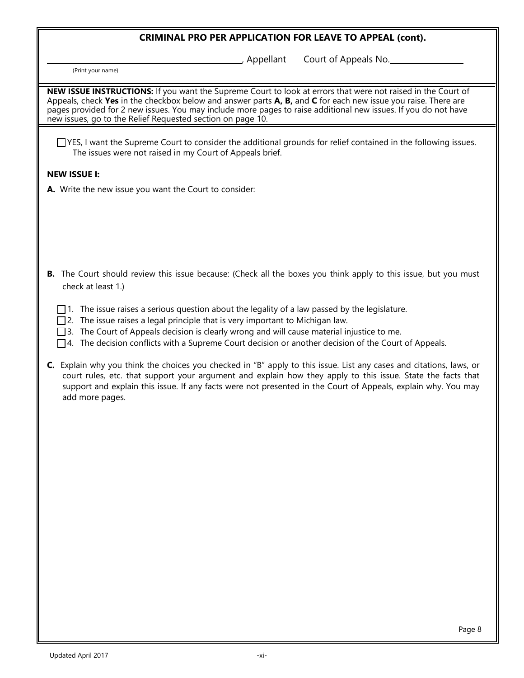Appellant Court of Appeals No.

(Print your name)

**NEW ISSUE INSTRUCTIONS:** If you want the Supreme Court to look at errors that were not raised in the Court of Appeals, check **Yes** in the checkbox below and answer parts **A, B,** and **C** for each new issue you raise. There are pages provided for 2 new issues. You may include more pages to raise additional new issues. If you do not have new issues, go to the Relief Requested section on page 10.

 YES, I want the Supreme Court to consider the additional grounds for relief contained in the following issues. The issues were not raised in my Court of Appeals brief.

#### **NEW ISSUE I:**

**A.** Write the new issue you want the Court to consider:

- **B.** The Court should review this issue because: (Check all the boxes you think apply to this issue, but you must check at least 1.)
	- $\Box$  1. The issue raises a serious question about the legality of a law passed by the legislature.
	- $\square$  2. The issue raises a legal principle that is very important to Michigan law.
	- $\square$ 3. The Court of Appeals decision is clearly wrong and will cause material injustice to me.
	- $\Box$ 4. The decision conflicts with a Supreme Court decision or another decision of the Court of Appeals.
- **C.** Explain why you think the choices you checked in "B" apply to this issue. List any cases and citations, laws, or court rules, etc. that support your argument and explain how they apply to this issue. State the facts that support and explain this issue. If any facts were not presented in the Court of Appeals, explain why. You may add more pages.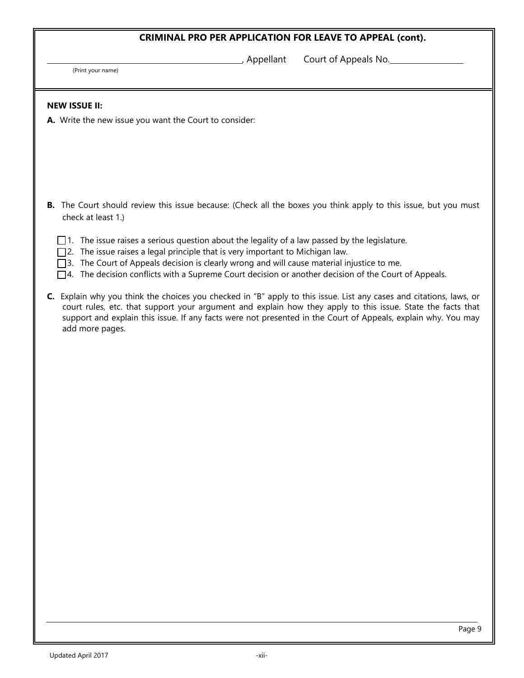(Print your name)

Appellant Court of Appeals No.

#### **NEW ISSUE II:**

**A.** Write the new issue you want the Court to consider:

- **B.** The Court should review this issue because: (Check all the boxes you think apply to this issue, but you must check at least 1.)
	- $\Box$  1. The issue raises a serious question about the legality of a law passed by the legislature.
	- $\square$ 2. The issue raises a legal principle that is very important to Michigan law.
	- 3. The Court of Appeals decision is clearly wrong and will cause material injustice to me.
	- $\Box$ 4. The decision conflicts with a Supreme Court decision or another decision of the Court of Appeals.
- **C.** Explain why you think the choices you checked in "B" apply to this issue. List any cases and citations, laws, or court rules, etc. that support your argument and explain how they apply to this issue. State the facts that support and explain this issue. If any facts were not presented in the Court of Appeals, explain why. You may add more pages.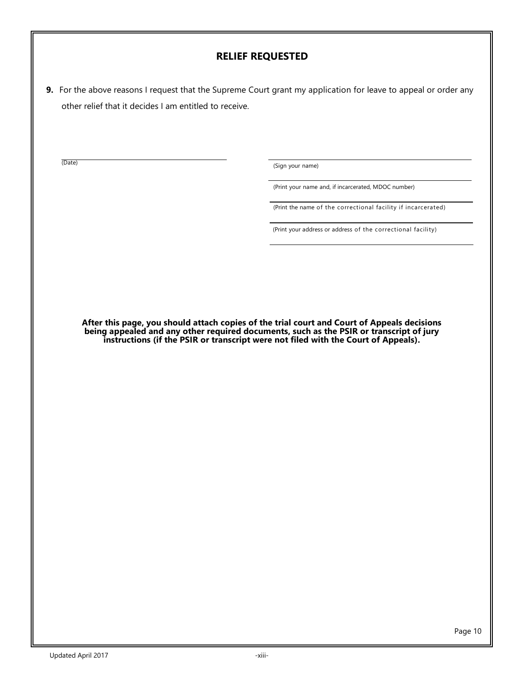**9.** For the above reasons I request that the Supreme Court grant my application for leave to appeal or order any other relief that it decides I am entitled to receive.

(Date) (Sign your name)

(Print your name and, if incarcerated, MDOC number)

(Print the name of the correctional facility if incarcerated)

(Print your address or address of the correctional facility)

**After this page, you should attach copies of the trial court and Court of Appeals decisions being appealed and any other required documents, such as the PSIR or transcript of jury instructions (if the PSIR or transcript were not filed with the Court of Appeals).**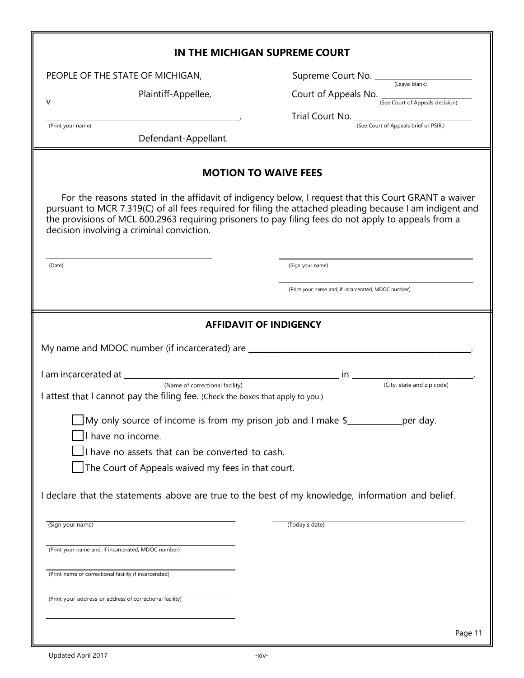|                                                                                                                                                                                                                                                                                                                                                                                                                                                                                                                                                                                                                                                                        | IN THE MICHIGAN SUPREME COURT                                                                                                                                                                                    |
|------------------------------------------------------------------------------------------------------------------------------------------------------------------------------------------------------------------------------------------------------------------------------------------------------------------------------------------------------------------------------------------------------------------------------------------------------------------------------------------------------------------------------------------------------------------------------------------------------------------------------------------------------------------------|------------------------------------------------------------------------------------------------------------------------------------------------------------------------------------------------------------------|
| PEOPLE OF THE STATE OF MICHIGAN,                                                                                                                                                                                                                                                                                                                                                                                                                                                                                                                                                                                                                                       |                                                                                                                                                                                                                  |
| Plaintiff-Appellee,<br>v                                                                                                                                                                                                                                                                                                                                                                                                                                                                                                                                                                                                                                               | Court of Appeals No. (See Court of Appeals decision)                                                                                                                                                             |
|                                                                                                                                                                                                                                                                                                                                                                                                                                                                                                                                                                                                                                                                        | Trial Court No. (See Court of Appeals brief or PSIR.)                                                                                                                                                            |
| (Print your name)<br>Defendant-Appellant.                                                                                                                                                                                                                                                                                                                                                                                                                                                                                                                                                                                                                              |                                                                                                                                                                                                                  |
|                                                                                                                                                                                                                                                                                                                                                                                                                                                                                                                                                                                                                                                                        | <b>MOTION TO WAIVE FEES</b>                                                                                                                                                                                      |
| the provisions of MCL 600.2963 requiring prisoners to pay filing fees do not apply to appeals from a<br>decision involving a criminal conviction.                                                                                                                                                                                                                                                                                                                                                                                                                                                                                                                      | For the reasons stated in the affidavit of indigency below, I request that this Court GRANT a waiver<br>pursuant to MCR 7.319(C) of all fees required for filing the attached pleading because I am indigent and |
| (Date)                                                                                                                                                                                                                                                                                                                                                                                                                                                                                                                                                                                                                                                                 | (Sign your name)                                                                                                                                                                                                 |
|                                                                                                                                                                                                                                                                                                                                                                                                                                                                                                                                                                                                                                                                        | (Print your name and, if incarcerated, MDOC number)                                                                                                                                                              |
| My name and MDOC number (if incarcerated) are __________________________________<br>I attest that I cannot pay the filing fee. (Check the boxes that apply to you.)<br>My only source of income is from my prison job and I make \$<br>I have no income.<br>I have no assets that can be converted to cash.<br>The Court of Appeals waived my fees in that court.<br>I declare that the statements above are true to the best of my knowledge, information and belief.<br>(Sign your name)<br>(Print your name and, if incarcerated, MDOC number)<br>(Print name of correctional facility if incarcerated)<br>(Print your address or address of correctional facility) | per day.<br>(Today's date)                                                                                                                                                                                       |
|                                                                                                                                                                                                                                                                                                                                                                                                                                                                                                                                                                                                                                                                        | Page 11                                                                                                                                                                                                          |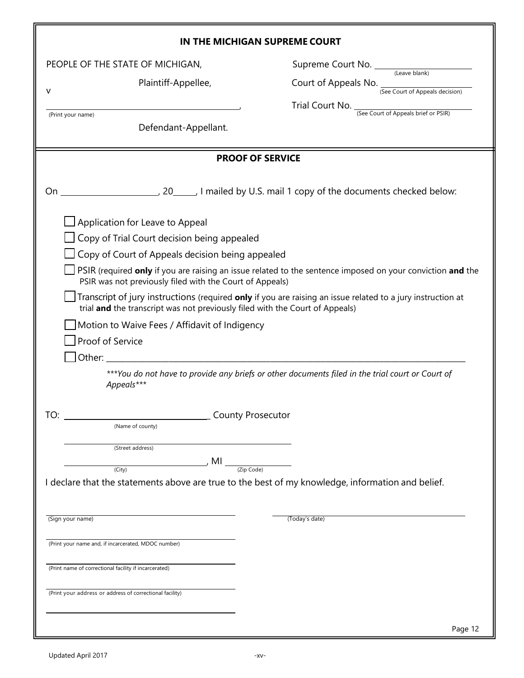|                                                                                                                                     | IN THE MICHIGAN SUPREME COURT                                                                               |
|-------------------------------------------------------------------------------------------------------------------------------------|-------------------------------------------------------------------------------------------------------------|
| PEOPLE OF THE STATE OF MICHIGAN,                                                                                                    |                                                                                                             |
| Plaintiff-Appellee,<br>v                                                                                                            | Court of Appeals No. (See Court of Appeals decision)                                                        |
| (Print your name)                                                                                                                   | Trial Court No. $\frac{1}{\sqrt{\frac{3}{2}}}$ (See Court of Appeals brief or PSIR)                         |
| Defendant-Appellant.                                                                                                                |                                                                                                             |
|                                                                                                                                     | <b>PROOF OF SERVICE</b>                                                                                     |
| On<br>$\Box$ Application for Leave to Appeal                                                                                        |                                                                                                             |
| Copy of Trial Court decision being appealed                                                                                         |                                                                                                             |
| $\Box$ Copy of Court of Appeals decision being appealed                                                                             |                                                                                                             |
| PSIR was not previously filed with the Court of Appeals)                                                                            | PSIR (required only if you are raising an issue related to the sentence imposed on your conviction and the  |
| trial and the transcript was not previously filed with the Court of Appeals)                                                        | Transcript of jury instructions (required only if you are raising an issue related to a jury instruction at |
| Motion to Waive Fees / Affidavit of Indigency<br>Proof of Service                                                                   |                                                                                                             |
| Appeals***                                                                                                                          | ***You do not have to provide any briefs or other documents filed in the trial court or Court of            |
| <b>County Prosecutor</b><br>TO:                                                                                                     |                                                                                                             |
| (Name of county)                                                                                                                    |                                                                                                             |
| (Street address)                                                                                                                    |                                                                                                             |
| $\int MI$ (Zip Code)<br>(City)<br>I declare that the statements above are true to the best of my knowledge, information and belief. |                                                                                                             |
| (Sign your name)                                                                                                                    | (Today's date)                                                                                              |
| (Print your name and, if incarcerated, MDOC number)                                                                                 |                                                                                                             |
| (Print name of correctional facility if incarcerated)                                                                               |                                                                                                             |
| (Print your address or address of correctional facility)                                                                            |                                                                                                             |
|                                                                                                                                     | Page 12                                                                                                     |

II